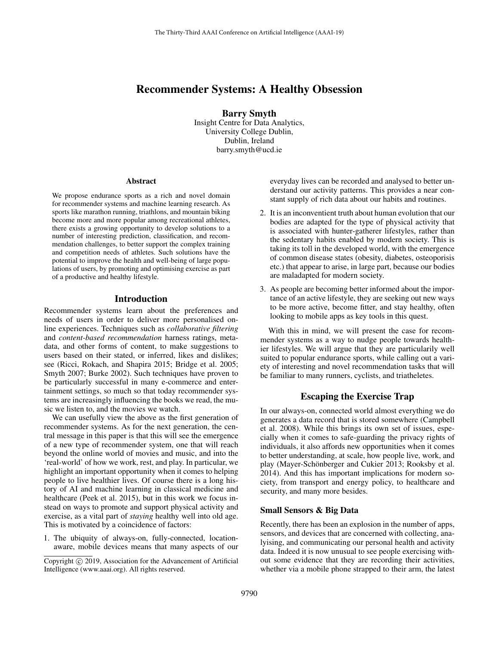# Recommender Systems: A Healthy Obsession

Barry Smyth Insight Centre for Data Analytics, University College Dublin, Dublin, Ireland barry.smyth@ucd.ie

#### Abstract

We propose endurance sports as a rich and novel domain for recommender systems and machine learning research. As sports like marathon running, triathlons, and mountain biking become more and more popular among recreational athletes, there exists a growing opportunity to develop solutions to a number of interesting prediction, classification, and recommendation challenges, to better support the complex training and competition needs of athletes. Such solutions have the potential to improve the health and well-being of large populations of users, by promoting and optimising exercise as part of a productive and healthy lifestyle.

#### Introduction

Recommender systems learn about the preferences and needs of users in order to deliver more personalised online experiences. Techniques such as *collaborative filtering* and *content-based recommendation* harness ratings, metadata, and other forms of content, to make suggestions to users based on their stated, or inferred, likes and dislikes; see (Ricci, Rokach, and Shapira 2015; Bridge et al. 2005; Smyth 2007; Burke 2002). Such techniques have proven to be particularly successful in many e-commerce and entertainment settings, so much so that today recommender systems are increasingly influencing the books we read, the music we listen to, and the movies we watch.

We can usefully view the above as the first generation of recommender systems. As for the next generation, the central message in this paper is that this will see the emergence of a new type of recommender system, one that will reach beyond the online world of movies and music, and into the 'real-world' of how we work, rest, and play. In particular, we highlight an important opportunity when it comes to helping people to live healthier lives. Of course there is a long history of AI and machine learning in classical medicine and healthcare (Peek et al. 2015), but in this work we focus instead on ways to promote and support physical activity and exercise, as a vital part of *staying* healthy well into old age. This is motivated by a coincidence of factors:

1. The ubiquity of always-on, fully-connected, locationaware, mobile devices means that many aspects of our everyday lives can be recorded and analysed to better understand our activity patterns. This provides a near constant supply of rich data about our habits and routines.

- 2. It is an inconventient truth about human evolution that our bodies are adapted for the type of physical activity that is associated with hunter-gatherer lifestyles, rather than the sedentary habits enabled by modern society. This is taking its toll in the developed world, with the emergence of common disease states (obesity, diabetes, osteoporisis etc.) that appear to arise, in large part, because our bodies are maladapted for modern society.
- 3. As people are becoming better informed about the importance of an active lifestyle, they are seeking out new ways to be more active, become fitter, and stay healthy, often looking to mobile apps as key tools in this quest.

With this in mind, we will present the case for recommender systems as a way to nudge people towards healthier lifestyles. We will argue that they are particularily well suited to popular endurance sports, while calling out a variety of interesting and novel recommendation tasks that will be familiar to many runners, cyclists, and triatheletes.

## Escaping the Exercise Trap

In our always-on, connected world almost everything we do generates a data record that is stored somewhere (Campbell et al. 2008). While this brings its own set of issues, especially when it comes to safe-guarding the privacy rights of individuals, it also affords new opportunities when it comes to better understanding, at scale, how people live, work, and play (Mayer-Schönberger and Cukier 2013; Rooksby et al. 2014). And this has important implications for modern society, from transport and energy policy, to healthcare and security, and many more besides.

## Small Sensors & Big Data

Recently, there has been an explosion in the number of apps, sensors, and devices that are concerned with collecting, analyising, and communicating our personal health and activity data. Indeed it is now unusual to see people exercising without some evidence that they are recording their activities, whether via a mobile phone strapped to their arm, the latest

Copyright (c) 2019, Association for the Advancement of Artificial Intelligence (www.aaai.org). All rights reserved.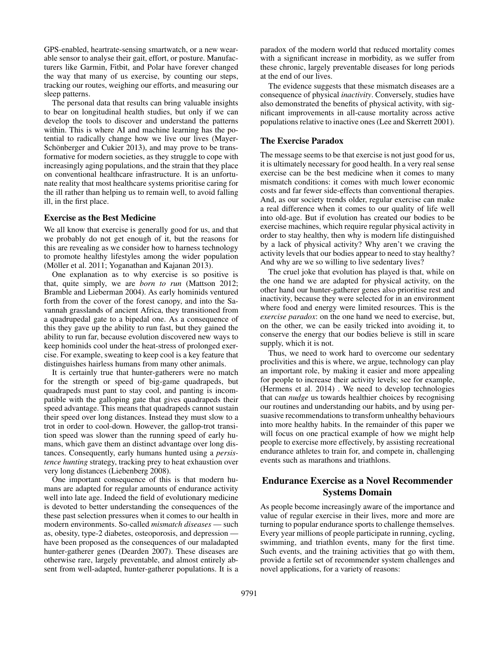GPS-enabled, heartrate-sensing smartwatch, or a new wearable sensor to analyse their gait, effort, or posture. Manufacturers like Garmin, Fitbit, and Polar have forever changed the way that many of us exercise, by counting our steps, tracking our routes, weighing our efforts, and measuring our sleep patterns.

The personal data that results can bring valuable insights to bear on longitudinal health studies, but only if we can develop the tools to discover and understand the patterns within. This is where AI and machine learning has the potential to radically change how we live our lives (Mayer-Schönberger and Cukier 2013), and may prove to be transformative for modern societies, as they struggle to cope with increasingly aging populations, and the strain that they place on conventional healthcare infrastructure. It is an unfortunate reality that most healthcare systems prioritise caring for the ill rather than helping us to remain well, to avoid falling ill, in the first place.

#### Exercise as the Best Medicine

We all know that exercise is generally good for us, and that we probably do not get enough of it, but the reasons for this are revealing as we consider how to harness technology to promote healthy lifestyles among the wider population (Möller et al. 2011; Yoganathan and Kajanan 2013).

One explanation as to why exercise is so positive is that, quite simply, we are *born to run* (Mattson 2012; Bramble and Lieberman 2004). As early hominids ventured forth from the cover of the forest canopy, and into the Savannah grasslands of ancient Africa, they transitioned from a quadrupedal gate to a bipedal one. As a consequence of this they gave up the ability to run fast, but they gained the ability to run far, because evolution discovered new ways to keep hominids cool under the heat-stress of prolonged exercise. For example, sweating to keep cool is a key feature that distinguishes hairless humans from many other animals.

It is certainly true that hunter-gatherers were no match for the strength or speed of big-game quadrapeds, but quadrapeds must pant to stay cool, and panting is incompatible with the galloping gate that gives quadrapeds their speed advantage. This means that quadrapeds cannot sustain their speed over long distances. Instead they must slow to a trot in order to cool-down. However, the gallop-trot transition speed was slower than the running speed of early humans, which gave them an distinct advantage over long distances. Consequently, early humans hunted using a *persistence hunting* strategy, tracking prey to heat exhaustion over very long distances (Liebenberg 2008).

One important consequence of this is that modern humans are adapted for regular amounts of endurance activity well into late age. Indeed the field of evolutionary medicine is devoted to better understanding the consequences of the these past selection pressures when it comes to our health in modern environments. So-called *mismatch diseases* — such as, obesity, type-2 diabetes, osteoporosis, and depression have been proposed as the consequences of our maladapted hunter-gatherer genes (Dearden 2007). These diseases are otherwise rare, largely preventable, and almost entirely absent from well-adapted, hunter-gatherer populations. It is a

paradox of the modern world that reduced mortality comes with a significant increase in morbidity, as we suffer from these chronic, largely preventable diseases for long periods at the end of our lives.

The evidence suggests that these mismatch diseases are a consequence of physical *inactivity*. Conversely, studies have also demonstrated the benefits of physical activity, with significant improvements in all-cause mortality across active populations relative to inactive ones (Lee and Skerrett 2001).

#### The Exercise Paradox

The message seems to be that exercise is not just good for us, it is ultimately necessary for good health. In a very real sense exercise can be the best medicine when it comes to many mismatch conditions: it comes with much lower economic costs and far fewer side-effects than conventional therapies. And, as our society trends older, regular exercise can make a real difference when it comes to our quality of life well into old-age. But if evolution has created our bodies to be exercise machines, which require regular physical activity in order to stay healthy, then why is modern life distinguished by a lack of physical activity? Why aren't we craving the activity levels that our bodies appear to need to stay healthy? And why are we so willing to live sedentary lives?

The cruel joke that evolution has played is that, while on the one hand we are adapted for physical activity, on the other hand our hunter-gatherer genes also prioritise rest and inactivity, because they were selected for in an environment where food and energy were limited resources. This is the *exercise paradox*: on the one hand we need to exercise, but, on the other, we can be easily tricked into avoiding it, to conserve the energy that our bodies believe is still in scare supply, which it is not.

Thus, we need to work hard to overcome our sedentary proclivities and this is where, we argue, technology can play an important role, by making it easier and more appealing for people to increase their activity levels; see for example, (Hermens et al. 2014) . We need to develop technologies that can *nudge* us towards healthier choices by recognising our routines and understanding our habits, and by using persuasive recommendations to transform unhealthy behaviours into more healthy habits. In the remainder of this paper we will focus on one practical example of how we might help people to exercise more effectively, by assisting recreational endurance athletes to train for, and compete in, challenging events such as marathons and triathlons.

# Endurance Exercise as a Novel Recommender Systems Domain

As people become increasingly aware of the importance and value of regular exercise in their lives, more and more are turning to popular endurance sports to challenge themselves. Every year millions of people participate in running, cycling, swimming, and triathlon events, many for the first time. Such events, and the training activities that go with them, provide a fertile set of recommender system challenges and novel applications, for a variety of reasons: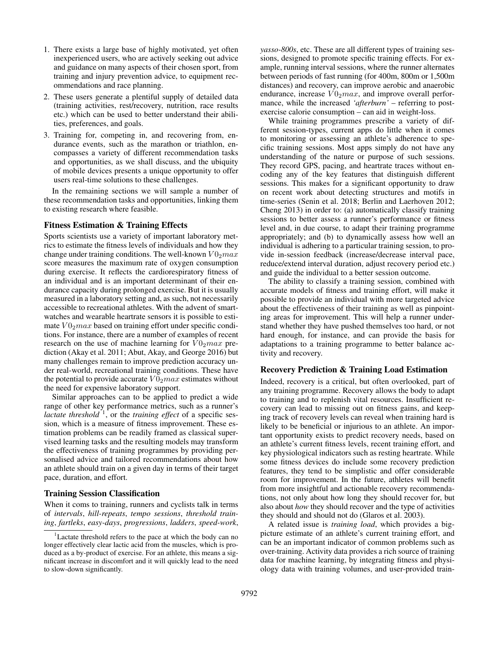- 1. There exists a large base of highly motivated, yet often inexperienced users, who are actively seeking out advice and guidance on many aspects of their chosen sport, from training and injury prevention advice, to equipment recommendations and race planning.
- 2. These users generate a plentiful supply of detailed data (training activities, rest/recovery, nutrition, race results etc.) which can be used to better understand their abilities, preferences, and goals.
- 3. Training for, competing in, and recovering from, endurance events, such as the marathon or triathlon, encompasses a variety of different recommendation tasks and opportunities, as we shall discuss, and the ubiquity of mobile devices presents a unique opportunity to offer users real-time solutions to these challenges.

In the remaining sections we will sample a number of these recommendation tasks and opportunities, linking them to existing research where feasible.

#### Fitness Estimation & Training Effects

Sports scientists use a variety of important laboratory metrics to estimate the fitness levels of individuals and how they change under training conditions. The well-known  $V0_2max$ score measures the maximum rate of oxygen consumption during exercise. It reflects the cardiorespiratory fitness of an individual and is an important determinant of their endurance capacity during prolonged exercise. But it is usually measured in a laboratory setting and, as such, not necessarily accessible to recreational athletes. With the advent of smartwatches and wearable heartrate sensors it is possible to estimate  $V0_2$ *max* based on training effort under specific conditions. For instance, there are a number of examples of recent research on the use of machine learning for  $V0_2max$  prediction (Akay et al. 2011; Abut, Akay, and George 2016) but many challenges remain to improve prediction accuracy under real-world, recreational training conditions. These have the potential to provide accurate  $V0_2$  max estimates without the need for expensive laboratory support.

Similar approaches can to be applied to predict a wide range of other key performance metrics, such as a runner's *lactate threshold*<sup>1</sup>, or the *training effect* of a specific session, which is a measure of fitness improvement. These estimation problems can be readily framed as classical supervised learning tasks and the resulting models may transform the effectiveness of training programmes by providing personalised advice and tailored recommendations about how an athlete should train on a given day in terms of their target pace, duration, and effort.

#### Training Session Classification

When it coms to training, runners and cyclists talk in terms of *intervals*, *hill-repeats*, *tempo sessions*, *threshold training*, *fartleks*, *easy-days*, *progressions*, *ladders*, *speed-work*,

*yasso-800s*, etc. These are all different types of training sessions, designed to promote specific training effects. For example, running interval sessions, where the runner alternates between periods of fast running (for 400m, 800m or 1,500m distances) and recovery, can improve aerobic and anaerobic endurance, increase  $V0_2max$ , and improve overall performance, while the increased *'afterburn'* – referring to postexercise calorie consumption – can aid in weight-loss.

While training programmes prescribe a variety of different session-types, current apps do little when it comes to monitoring or assessing an athlete's adherence to specific training sessions. Most apps simply do not have any understanding of the nature or purpose of such sessions. They record GPS, pacing, and heartrate traces without encoding any of the key features that distinguish different sessions. This makes for a significant opportunity to draw on recent work about detecting structures and motifs in time-series (Senin et al. 2018; Berlin and Laerhoven 2012; Cheng 2013) in order to: (a) automatically classify training sessions to better assess a runner's performance or fitness level and, in due course, to adapt their training programme appropriately; and (b) to dynamically assess how well an individual is adhering to a particular training session, to provide in-session feedback (increase/decrease interval pace, reduce/extend interval duration, adjust recovery period etc.) and guide the individual to a better session outcome.

The ability to classify a training session, combined with accurate models of fitness and training effort, will make it possible to provide an individual with more targeted advice about the effectiveness of their training as well as pinpointing areas for improvement. This will help a runner understand whether they have pushed themselves too hard, or not hard enough, for instance, and can provide the basis for adaptations to a training programme to better balance activity and recovery.

## Recovery Prediction & Training Load Estimation

Indeed, recovery is a critical, but often overlooked, part of any training programme. Recovery allows the body to adapt to training and to replenish vital resources. Insufficient recovery can lead to missing out on fitness gains, and keeping track of recovery levels can reveal when training hard is likely to be beneficial or injurious to an athlete. An important opportunity exists to predict recovery needs, based on an athlete's current fitness levels, recent training effort, and key physiological indicators such as resting heartrate. While some fitness devices do include some recovery prediction features, they tend to be simplistic and offer considerable room for improvement. In the future, athletes will benefit from more insightful and actionable recovery recommendations, not only about how long they should recover for, but also about *how* they should recover and the type of activities they should and should not do (Glaros et al. 2003).

A related issue is *training load*, which provides a bigpicture estimate of an athlete's current training effort, and can be an important indicator of common problems such as over-training. Activity data provides a rich source of training data for machine learning, by integrating fitness and physiology data with training volumes, and user-provided train-

<sup>&</sup>lt;sup>1</sup>Lactate threshold refers to the pace at which the body can no longer effectively clear lactic acid from the muscles, which is produced as a by-product of exercise. For an athlete, this means a significant increase in discomfort and it will quickly lead to the need to slow-down significantly.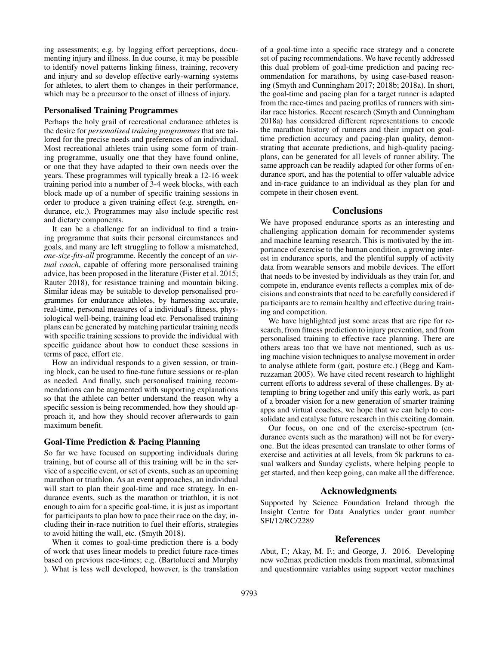ing assessments; e.g. by logging effort perceptions, documenting injury and illness. In due course, it may be possible to identify novel patterns linking fitness, training, recovery and injury and so develop effective early-warning systems for athletes, to alert them to changes in their performance, which may be a precursor to the onset of illness of injury.

## Personalised Training Programmes

Perhaps the holy grail of recreational endurance athletes is the desire for *personalised training programmes* that are tailored for the precise needs and preferences of an individual. Most recreational athletes train using some form of training programme, usually one that they have found online, or one that they have adapted to their own needs over the years. These programmes will typically break a 12-16 week training period into a number of 3-4 week blocks, with each block made up of a number of specific training sessions in order to produce a given training effect (e.g. strength, endurance, etc.). Programmes may also include specific rest and dietary components.

It can be a challenge for an individual to find a training programme that suits their personal circumstances and goals, and many are left struggling to follow a mismatched, *one-size-fits-all* programme. Recently the concept of an *virtual coach*, capable of offering more personalised training advice, has been proposed in the literature (Fister et al. 2015; Rauter 2018), for resistance training and mountain biking. Similar ideas may be suitable to develop personalised programmes for endurance athletes, by harnessing accurate, real-time, personal measures of a individual's fitness, physiological well-being, training load etc. Personalised training plans can be generated by matching particular training needs with specific training sessions to provide the individual with specific guidance about how to conduct these sessions in terms of pace, effort etc.

How an individual responds to a given session, or training block, can be used to fine-tune future sessions or re-plan as needed. And finally, such personalised training recommendations can be augmented with supporting explanations so that the athlete can better understand the reason why a specific session is being recommended, how they should approach it, and how they should recover afterwards to gain maximum benefit.

#### Goal-Time Prediction & Pacing Planning

So far we have focused on supporting individuals during training, but of course all of this training will be in the service of a specific event, or set of events, such as an upcoming marathon or triathlon. As an event approaches, an individual will start to plan their goal-time and race strategy. In endurance events, such as the marathon or triathlon, it is not enough to aim for a specific goal-time, it is just as important for participants to plan how to pace their race on the day, including their in-race nutrition to fuel their efforts, strategies to avoid hitting the wall, etc. (Smyth 2018).

When it comes to goal-time prediction there is a body of work that uses linear models to predict future race-times based on previous race-times; e.g. (Bartolucci and Murphy ). What is less well developed, however, is the translation of a goal-time into a specific race strategy and a concrete set of pacing recommendations. We have recently addressed this dual problem of goal-time prediction and pacing recommendation for marathons, by using case-based reasoning (Smyth and Cunningham 2017; 2018b; 2018a). In short, the goal-time and pacing plan for a target runner is adapted from the race-times and pacing profiles of runners with similar race histories. Recent research (Smyth and Cunningham 2018a) has considered different representations to encode the marathon history of runners and their impact on goaltime prediction accuracy and pacing-plan quality, demonstrating that accurate predictions, and high-quality pacingplans, can be generated for all levels of runner ability. The same approach can be readily adapted for other forms of endurance sport, and has the potential to offer valuable advice and in-race guidance to an individual as they plan for and compete in their chosen event.

#### **Conclusions**

We have proposed endurance sports as an interesting and challenging application domain for recommender systems and machine learning research. This is motivated by the importance of exercise to the human condition, a growing interest in endurance sports, and the plentiful supply of activity data from wearable sensors and mobile devices. The effort that needs to be invested by individuals as they train for, and compete in, endurance events reflects a complex mix of decisions and constraints that need to be carefully considered if participants are to remain healthy and effective during training and competition.

We have highlighted just some areas that are ripe for research, from fitness prediction to injury prevention, and from personalised training to effective race planning. There are others areas too that we have not mentioned, such as using machine vision techniques to analyse movement in order to analyse athlete form (gait, posture etc.) (Begg and Kamruzzaman 2005). We have cited recent research to highlight current efforts to address several of these challenges. By attempting to bring together and unify this early work, as part of a broader vision for a new generation of smarter training apps and virtual coaches, we hope that we can help to consolidate and catalyse future research in this exciting domain.

Our focus, on one end of the exercise-spectrum (endurance events such as the marathon) will not be for everyone. But the ideas presented can translate to other forms of exercise and activities at all levels, from 5k parkruns to casual walkers and Sunday cyclists, where helping people to get started, and then keep going, can make all the difference.

## Acknowledgments

Supported by Science Foundation Ireland through the Insight Centre for Data Analytics under grant number SFI/12/RC/2289

## References

Abut, F.; Akay, M. F.; and George, J. 2016. Developing new vo2max prediction models from maximal, submaximal and questionnaire variables using support vector machines